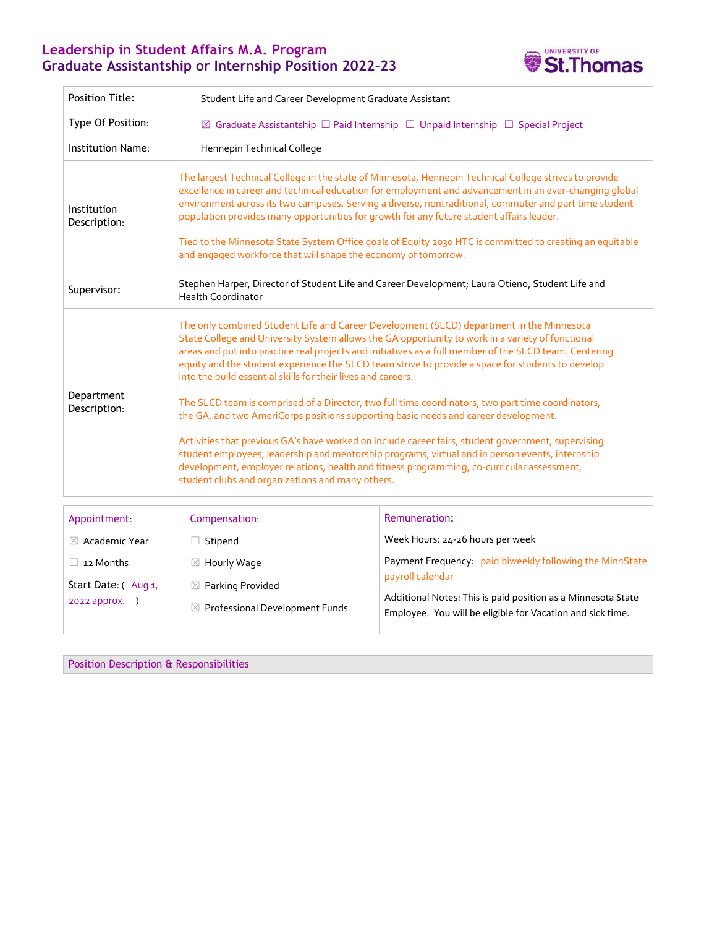## **Leadership in Student Affairs M.A. Program Graduate Assistantship or Internship Position 2022-23**



| <b>Position Title:</b>      | Student Life and Career Development Graduate Assistant                                                                                                                                                                                                                                                                                                                                                                                                                                                                                                                                                                                                                                                                                                                                                                                                                                                                                                                                                                             |                                  |
|-----------------------------|------------------------------------------------------------------------------------------------------------------------------------------------------------------------------------------------------------------------------------------------------------------------------------------------------------------------------------------------------------------------------------------------------------------------------------------------------------------------------------------------------------------------------------------------------------------------------------------------------------------------------------------------------------------------------------------------------------------------------------------------------------------------------------------------------------------------------------------------------------------------------------------------------------------------------------------------------------------------------------------------------------------------------------|----------------------------------|
| Type Of Position:           | $\boxtimes$ Graduate Assistantship $\square$ Paid Internship $\square$ Unpaid Internship $\square$ Special Project                                                                                                                                                                                                                                                                                                                                                                                                                                                                                                                                                                                                                                                                                                                                                                                                                                                                                                                 |                                  |
| Institution Name:           | Hennepin Technical College                                                                                                                                                                                                                                                                                                                                                                                                                                                                                                                                                                                                                                                                                                                                                                                                                                                                                                                                                                                                         |                                  |
| Institution<br>Description: | The largest Technical College in the state of Minnesota, Hennepin Technical College strives to provide<br>excellence in career and technical education for employment and advancement in an ever-changing global<br>environment across its two campuses. Serving a diverse, nontraditional, commuter and part time student<br>population provides many opportunities for growth for any future student affairs leader.<br>Tied to the Minnesota State System Office goals of Equity 2030 HTC is committed to creating an equitable<br>and engaged workforce that will shape the economy of tomorrow.                                                                                                                                                                                                                                                                                                                                                                                                                               |                                  |
| Supervisor:                 | Stephen Harper, Director of Student Life and Career Development; Laura Otieno, Student Life and<br><b>Health Coordinator</b>                                                                                                                                                                                                                                                                                                                                                                                                                                                                                                                                                                                                                                                                                                                                                                                                                                                                                                       |                                  |
| Department<br>Description:  | The only combined Student Life and Career Development (SLCD) department in the Minnesota<br>State College and University System allows the GA opportunity to work in a variety of functional<br>areas and put into practice real projects and initiatives as a full member of the SLCD team. Centering<br>equity and the student experience the SLCD team strive to provide a space for students to develop<br>into the build essential skills for their lives and careers.<br>The SLCD team is comprised of a Director, two full time coordinators, two part time coordinators,<br>the GA, and two AmeriCorps positions supporting basic needs and career development.<br>Activities that previous GA's have worked on include career fairs, student government, supervising<br>student employees, leadership and mentorship programs, virtual and in person events, internship<br>development, employer relations, health and fitness programming, co-curricular assessment,<br>student clubs and organizations and many others. |                                  |
| Appointment.                | Compensation                                                                                                                                                                                                                                                                                                                                                                                                                                                                                                                                                                                                                                                                                                                                                                                                                                                                                                                                                                                                                       | Remuneration:                    |
| $\boxtimes$ Academic Year   | $\Box$ Stipend                                                                                                                                                                                                                                                                                                                                                                                                                                                                                                                                                                                                                                                                                                                                                                                                                                                                                                                                                                                                                     | Week Hours: 24-26 hours per week |

□ 12 Months Start Date: (Aug 1, 2022 approx. ) ☒ Hourly Wage  $\boxtimes$  Parking Provided  $\boxtimes$  Professional Development Funds Payment Frequency: paid biweekly following the MinnState payroll calendar Additional Notes: This is paid position as a Minnesota State Employee. You will be eligible for Vacation and sick time.

Position Description & Responsibilities